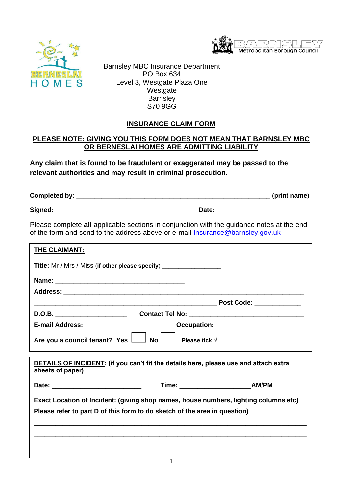



Barnsley MBC Insurance Department PO Box 634 Level 3, Westgate Plaza One **Westgate Barnsley** S70 9GG

# **INSURANCE CLAIM FORM**

## **PLEASE NOTE: GIVING YOU THIS FORM DOES NOT MEAN THAT BARNSLEY MBC OR BERNESLAI HOMES ARE ADMITTING LIABILITY**

**Any claim that is found to be fraudulent or exaggerated may be passed to the relevant authorities and may result in criminal prosecution.** 

| Completed by: |       | (print name) |
|---------------|-------|--------------|
| Signed:       | Date: |              |

 Please complete **all** applicable sections in conjunction with the guidance notes at the end of the form and send to the address above or e-mail **Insurance@barnsley.gov.uk** 

### **THE CLAIMANT:**

|                  | Are you a council tenant? Yes $\Box$ No $\Box$ Please tick $\sqrt{ }$                       |  |
|------------------|---------------------------------------------------------------------------------------------|--|
| sheets of paper) | <b>DETAILS OF INCIDENT:</b> (if you can't fit the details here, please use and attach extra |  |
|                  |                                                                                             |  |
|                  | Exact Location of Incident: (giving shop names, house numbers, lighting columns etc)        |  |
|                  | Please refer to part D of this form to do sketch of the area in question)                   |  |
|                  |                                                                                             |  |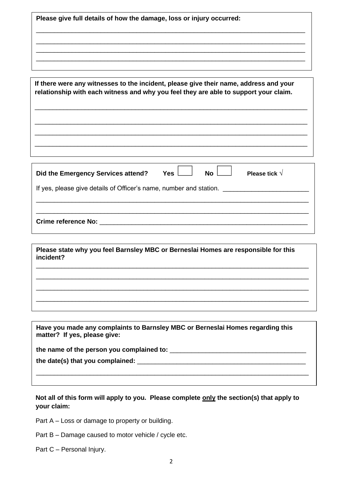| If there were any witnesses to the incident, please give their name, address and your<br>relationship with each witness and why you feel they are able to support your claim. |
|-------------------------------------------------------------------------------------------------------------------------------------------------------------------------------|
|                                                                                                                                                                               |
|                                                                                                                                                                               |
| Please tick \<br>Did the Emergency Services attend?<br><b>Yes</b><br>Nο                                                                                                       |

\_\_\_\_\_\_\_\_\_\_\_\_\_\_\_\_\_\_\_\_\_\_\_\_\_\_\_\_\_\_\_\_\_\_\_\_\_\_\_\_\_\_\_\_\_\_\_\_\_\_\_\_\_\_\_\_\_\_\_\_\_\_\_\_\_\_\_\_\_\_\_\_\_\_\_ \_\_\_\_\_\_\_\_\_\_\_\_\_\_\_\_\_\_\_\_\_\_\_\_\_\_\_\_\_\_\_\_\_\_\_\_\_\_\_\_\_\_\_\_\_\_\_\_\_\_\_\_\_\_\_\_\_\_\_\_\_\_\_\_\_\_\_\_\_\_\_\_\_\_\_

 **Please give full details of how the damage, loss or injury occurred:** 

| If yes, please give details of Officer's name, number and station. ______________                                                                                                                                              |  |  |
|--------------------------------------------------------------------------------------------------------------------------------------------------------------------------------------------------------------------------------|--|--|
|                                                                                                                                                                                                                                |  |  |
| Crime reference No: The contract of the contract of the contract of the contract of the contract of the contract of the contract of the contract of the contract of the contract of the contract of the contract of the contra |  |  |

 **Please state why you feel Barnsley MBC or Berneslai Homes are responsible for this incident?** 

\_\_\_\_\_\_\_\_\_\_\_\_\_\_\_\_\_\_\_\_\_\_\_\_\_\_\_\_\_\_\_\_\_\_\_\_\_\_\_\_\_\_\_\_\_\_\_\_\_\_\_\_\_\_\_\_\_\_\_\_\_\_\_\_\_\_\_\_\_\_\_\_\_\_\_\_ \_\_\_\_\_\_\_\_\_\_\_\_\_\_\_\_\_\_\_\_\_\_\_\_\_\_\_\_\_\_\_\_\_\_\_\_\_\_\_\_\_\_\_\_\_\_\_\_\_\_\_\_\_\_\_\_\_\_\_\_\_\_\_\_\_\_\_\_\_\_\_\_\_\_\_\_ \_\_\_\_\_\_\_\_\_\_\_\_\_\_\_\_\_\_\_\_\_\_\_\_\_\_\_\_\_\_\_\_\_\_\_\_\_\_\_\_\_\_\_\_\_\_\_\_\_\_\_\_\_\_\_\_\_\_\_\_\_\_\_\_\_\_\_\_\_\_\_\_\_\_\_\_ \_\_\_\_\_\_\_\_\_\_\_\_\_\_\_\_\_\_\_\_\_\_\_\_\_\_\_\_\_\_\_\_\_\_\_\_\_\_\_\_\_\_\_\_\_\_\_\_\_\_\_\_\_\_\_\_\_\_\_\_\_\_\_\_\_\_\_\_\_\_\_\_\_\_\_\_

 **Have you made any complaints to Barnsley MBC or Berneslai Homes regarding this matter? If yes, please give:** 

| the name of the person you complained to: |  |
|-------------------------------------------|--|
|-------------------------------------------|--|

 **the date(s) that you complained:** \_\_\_\_\_\_\_\_\_\_\_\_\_\_\_\_\_\_\_\_\_\_\_\_\_\_\_\_\_\_\_\_\_\_\_\_\_\_\_\_\_\_\_\_\_\_\_

Not all of this form will apply to you. Please complete only the section(s) that apply to **your claim:** 

\_\_\_\_\_\_\_\_\_\_\_\_\_\_\_\_\_\_\_\_\_\_\_\_\_\_\_\_\_\_\_\_\_\_\_\_\_\_\_\_\_\_\_\_\_\_\_\_\_\_\_\_\_\_\_\_\_\_\_\_\_\_\_\_\_\_\_\_\_\_\_\_\_\_\_\_

Part A – Loss or damage to property or building.

- Part B Damage caused to motor vehicle / cycle etc.
- Part C Personal Injury.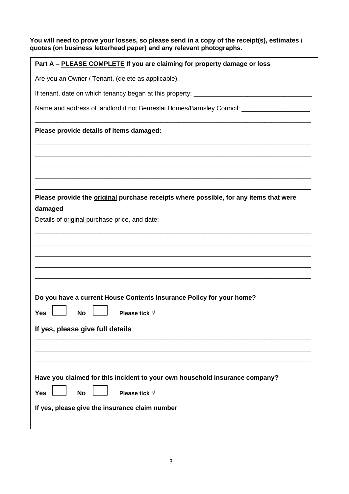| You will need to prove your losses, so please send in a copy of the receipt(s), estimates / |  |
|---------------------------------------------------------------------------------------------|--|
| quotes (on business letterhead paper) and any relevant photographs.                         |  |

| Part A - PLEASE COMPLETE If you are claiming for property damage or loss                             |  |  |
|------------------------------------------------------------------------------------------------------|--|--|
| Are you an Owner / Tenant, (delete as applicable).                                                   |  |  |
| If tenant, date on which tenancy began at this property: _______________________                     |  |  |
| Name and address of landlord if not Berneslai Homes/Barnsley Council: ______________________________ |  |  |
| Please provide details of items damaged:                                                             |  |  |
|                                                                                                      |  |  |
|                                                                                                      |  |  |
|                                                                                                      |  |  |
| Please provide the original purchase receipts where possible, for any items that were                |  |  |
| damaged                                                                                              |  |  |
| Details of original purchase price, and date:                                                        |  |  |
|                                                                                                      |  |  |
|                                                                                                      |  |  |
|                                                                                                      |  |  |
|                                                                                                      |  |  |
|                                                                                                      |  |  |
| Do you have a current House Contents Insurance Policy for your home?                                 |  |  |
|                                                                                                      |  |  |
| Please tick $\sqrt{}$<br><b>Yes</b><br><b>No</b>                                                     |  |  |
| If yes, please give full details                                                                     |  |  |
|                                                                                                      |  |  |
|                                                                                                      |  |  |
|                                                                                                      |  |  |
| Have you claimed for this incident to your own household insurance company?                          |  |  |
| Please tick $\sqrt{}$<br><b>Yes</b><br><b>No</b>                                                     |  |  |
| If yes, please give the insurance claim number _________________________________                     |  |  |
|                                                                                                      |  |  |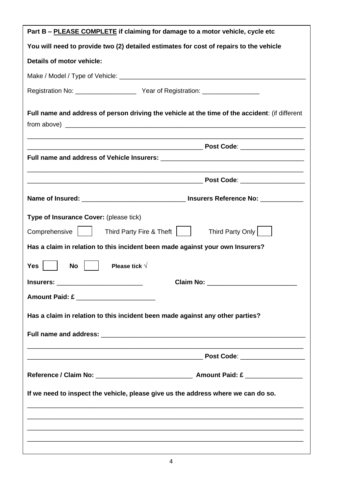| Part B - PLEASE COMPLETE if claiming for damage to a motor vehicle, cycle etc                                          |  |
|------------------------------------------------------------------------------------------------------------------------|--|
| You will need to provide two (2) detailed estimates for cost of repairs to the vehicle                                 |  |
| <b>Details of motor vehicle:</b>                                                                                       |  |
|                                                                                                                        |  |
|                                                                                                                        |  |
| Full name and address of person driving the vehicle at the time of the accident: (if different                         |  |
|                                                                                                                        |  |
|                                                                                                                        |  |
| <u> 1989 - Johann Barn, mars ann an t-Amhainn an t-Amhainn an t-Amhainn an t-Amhainn an t-Amhainn an t-Amhainn an </u> |  |
|                                                                                                                        |  |
| Type of Insurance Cover: (please tick)                                                                                 |  |
| Third Party Only<br>Comprehensive    <br>Third Party Fire & Theft                                                      |  |
| Has a claim in relation to this incident been made against your own Insurers?                                          |  |
| Please tick $\sqrt{}$<br><b>Yes</b><br>No                                                                              |  |
|                                                                                                                        |  |
| Amount Paid: £                                                                                                         |  |
| Has a claim in relation to this incident been made against any other parties?                                          |  |
|                                                                                                                        |  |
|                                                                                                                        |  |
|                                                                                                                        |  |
| If we need to inspect the vehicle, please give us the address where we can do so.                                      |  |
|                                                                                                                        |  |
|                                                                                                                        |  |
|                                                                                                                        |  |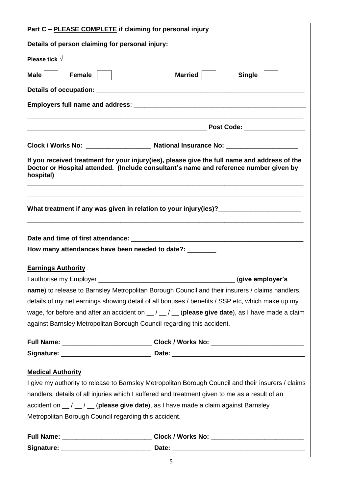| Details of person claiming for personal injury:<br>Please tick $\sqrt{}$<br>Male  <br>Female  <br><b>Married</b><br><b>Single</b><br>Clock / Works No: _______________________ National Insurance No: _______________<br>If you received treatment for your injury(ies), please give the full name and address of the<br>Doctor or Hospital attended. (Include consultant's name and reference number given by<br>hospital)<br>What treatment if any was given in relation to your injury(ies)?_________________<br>How many attendances have been needed to date?: _______<br><b>Earnings Authority</b><br>name) to release to Barnsley Metropolitan Borough Council and their insurers / claims handlers,<br>details of my net earnings showing detail of all bonuses / benefits / SSP etc, which make up my<br>wage, for before and after an accident on $\frac{1}{1}$ $\frac{1}{1}$ (please give date), as I have made a claim<br>against Barnsley Metropolitan Borough Council regarding this accident.<br>Full Name: ___________________________________Clock / Works No: _________________<br><b>Medical Authority</b><br>I give my authority to release to Barnsley Metropolitan Borough Council and their insurers / claims<br>handlers, details of all injuries which I suffered and treatment given to me as a result of an<br>accident on $\frac{1}{1}$ / $\frac{1}{1}$ (please give date), as I have made a claim against Barnsley<br>Metropolitan Borough Council regarding this accident.<br>Full Name: ___________________________________Clock / Works No: _________________ | Part C - PLEASE COMPLETE if claiming for personal injury |  |
|-----------------------------------------------------------------------------------------------------------------------------------------------------------------------------------------------------------------------------------------------------------------------------------------------------------------------------------------------------------------------------------------------------------------------------------------------------------------------------------------------------------------------------------------------------------------------------------------------------------------------------------------------------------------------------------------------------------------------------------------------------------------------------------------------------------------------------------------------------------------------------------------------------------------------------------------------------------------------------------------------------------------------------------------------------------------------------------------------------------------------------------------------------------------------------------------------------------------------------------------------------------------------------------------------------------------------------------------------------------------------------------------------------------------------------------------------------------------------------------------------------------------------------------------------------------------------------------------------|----------------------------------------------------------|--|
|                                                                                                                                                                                                                                                                                                                                                                                                                                                                                                                                                                                                                                                                                                                                                                                                                                                                                                                                                                                                                                                                                                                                                                                                                                                                                                                                                                                                                                                                                                                                                                                               |                                                          |  |
|                                                                                                                                                                                                                                                                                                                                                                                                                                                                                                                                                                                                                                                                                                                                                                                                                                                                                                                                                                                                                                                                                                                                                                                                                                                                                                                                                                                                                                                                                                                                                                                               |                                                          |  |
|                                                                                                                                                                                                                                                                                                                                                                                                                                                                                                                                                                                                                                                                                                                                                                                                                                                                                                                                                                                                                                                                                                                                                                                                                                                                                                                                                                                                                                                                                                                                                                                               |                                                          |  |
|                                                                                                                                                                                                                                                                                                                                                                                                                                                                                                                                                                                                                                                                                                                                                                                                                                                                                                                                                                                                                                                                                                                                                                                                                                                                                                                                                                                                                                                                                                                                                                                               |                                                          |  |
|                                                                                                                                                                                                                                                                                                                                                                                                                                                                                                                                                                                                                                                                                                                                                                                                                                                                                                                                                                                                                                                                                                                                                                                                                                                                                                                                                                                                                                                                                                                                                                                               |                                                          |  |
|                                                                                                                                                                                                                                                                                                                                                                                                                                                                                                                                                                                                                                                                                                                                                                                                                                                                                                                                                                                                                                                                                                                                                                                                                                                                                                                                                                                                                                                                                                                                                                                               |                                                          |  |
|                                                                                                                                                                                                                                                                                                                                                                                                                                                                                                                                                                                                                                                                                                                                                                                                                                                                                                                                                                                                                                                                                                                                                                                                                                                                                                                                                                                                                                                                                                                                                                                               |                                                          |  |
|                                                                                                                                                                                                                                                                                                                                                                                                                                                                                                                                                                                                                                                                                                                                                                                                                                                                                                                                                                                                                                                                                                                                                                                                                                                                                                                                                                                                                                                                                                                                                                                               |                                                          |  |
|                                                                                                                                                                                                                                                                                                                                                                                                                                                                                                                                                                                                                                                                                                                                                                                                                                                                                                                                                                                                                                                                                                                                                                                                                                                                                                                                                                                                                                                                                                                                                                                               |                                                          |  |
|                                                                                                                                                                                                                                                                                                                                                                                                                                                                                                                                                                                                                                                                                                                                                                                                                                                                                                                                                                                                                                                                                                                                                                                                                                                                                                                                                                                                                                                                                                                                                                                               |                                                          |  |
|                                                                                                                                                                                                                                                                                                                                                                                                                                                                                                                                                                                                                                                                                                                                                                                                                                                                                                                                                                                                                                                                                                                                                                                                                                                                                                                                                                                                                                                                                                                                                                                               |                                                          |  |
|                                                                                                                                                                                                                                                                                                                                                                                                                                                                                                                                                                                                                                                                                                                                                                                                                                                                                                                                                                                                                                                                                                                                                                                                                                                                                                                                                                                                                                                                                                                                                                                               |                                                          |  |
|                                                                                                                                                                                                                                                                                                                                                                                                                                                                                                                                                                                                                                                                                                                                                                                                                                                                                                                                                                                                                                                                                                                                                                                                                                                                                                                                                                                                                                                                                                                                                                                               |                                                          |  |
|                                                                                                                                                                                                                                                                                                                                                                                                                                                                                                                                                                                                                                                                                                                                                                                                                                                                                                                                                                                                                                                                                                                                                                                                                                                                                                                                                                                                                                                                                                                                                                                               |                                                          |  |
|                                                                                                                                                                                                                                                                                                                                                                                                                                                                                                                                                                                                                                                                                                                                                                                                                                                                                                                                                                                                                                                                                                                                                                                                                                                                                                                                                                                                                                                                                                                                                                                               |                                                          |  |
|                                                                                                                                                                                                                                                                                                                                                                                                                                                                                                                                                                                                                                                                                                                                                                                                                                                                                                                                                                                                                                                                                                                                                                                                                                                                                                                                                                                                                                                                                                                                                                                               |                                                          |  |
|                                                                                                                                                                                                                                                                                                                                                                                                                                                                                                                                                                                                                                                                                                                                                                                                                                                                                                                                                                                                                                                                                                                                                                                                                                                                                                                                                                                                                                                                                                                                                                                               |                                                          |  |
|                                                                                                                                                                                                                                                                                                                                                                                                                                                                                                                                                                                                                                                                                                                                                                                                                                                                                                                                                                                                                                                                                                                                                                                                                                                                                                                                                                                                                                                                                                                                                                                               |                                                          |  |
|                                                                                                                                                                                                                                                                                                                                                                                                                                                                                                                                                                                                                                                                                                                                                                                                                                                                                                                                                                                                                                                                                                                                                                                                                                                                                                                                                                                                                                                                                                                                                                                               |                                                          |  |
|                                                                                                                                                                                                                                                                                                                                                                                                                                                                                                                                                                                                                                                                                                                                                                                                                                                                                                                                                                                                                                                                                                                                                                                                                                                                                                                                                                                                                                                                                                                                                                                               |                                                          |  |
|                                                                                                                                                                                                                                                                                                                                                                                                                                                                                                                                                                                                                                                                                                                                                                                                                                                                                                                                                                                                                                                                                                                                                                                                                                                                                                                                                                                                                                                                                                                                                                                               |                                                          |  |
|                                                                                                                                                                                                                                                                                                                                                                                                                                                                                                                                                                                                                                                                                                                                                                                                                                                                                                                                                                                                                                                                                                                                                                                                                                                                                                                                                                                                                                                                                                                                                                                               |                                                          |  |
|                                                                                                                                                                                                                                                                                                                                                                                                                                                                                                                                                                                                                                                                                                                                                                                                                                                                                                                                                                                                                                                                                                                                                                                                                                                                                                                                                                                                                                                                                                                                                                                               |                                                          |  |
|                                                                                                                                                                                                                                                                                                                                                                                                                                                                                                                                                                                                                                                                                                                                                                                                                                                                                                                                                                                                                                                                                                                                                                                                                                                                                                                                                                                                                                                                                                                                                                                               |                                                          |  |
|                                                                                                                                                                                                                                                                                                                                                                                                                                                                                                                                                                                                                                                                                                                                                                                                                                                                                                                                                                                                                                                                                                                                                                                                                                                                                                                                                                                                                                                                                                                                                                                               |                                                          |  |
|                                                                                                                                                                                                                                                                                                                                                                                                                                                                                                                                                                                                                                                                                                                                                                                                                                                                                                                                                                                                                                                                                                                                                                                                                                                                                                                                                                                                                                                                                                                                                                                               |                                                          |  |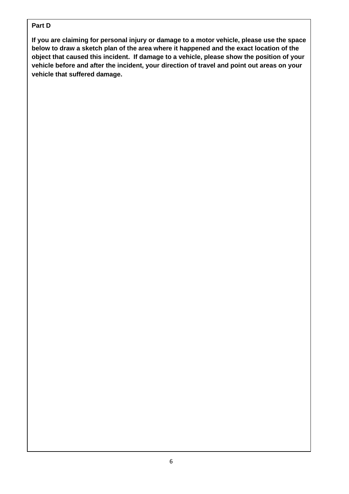#### **Part D**

 **If you are claiming for personal injury or damage to a motor vehicle, please use the space below to draw a sketch plan of the area where it happened and the exact location of the object that caused this incident. If damage to a vehicle, please show the position of your vehicle before and after the incident, your direction of travel and point out areas on your vehicle that suffered damage.**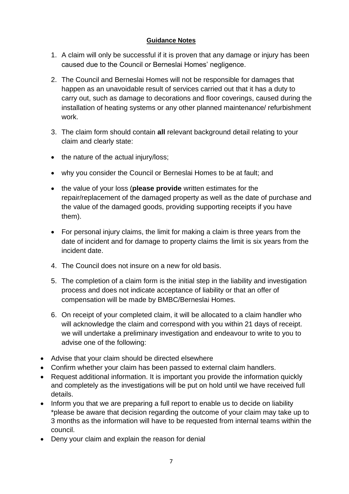## **Guidance Notes**

- caused due to the Council or Berneslai Homes' negligence. 1. A claim will only be successful if it is proven that any damage or injury has been
- 2. The Council and Berneslai Homes will not be responsible for damages that happen as an unavoidable result of services carried out that it has a duty to carry out, such as damage to decorations and floor coverings, caused during the installation of heating systems or any other planned maintenance/ refurbishment work.
- 3. The claim form should contain **all** relevant background detail relating to your claim and clearly state:
- the nature of the actual injury/loss;
- why you consider the Council or Berneslai Homes to be at fault; and
- repair/replacement of the damaged property as well as the date of purchase and • the value of your loss (**please provide** written estimates for the the value of the damaged goods, providing supporting receipts if you have them).
- • For personal injury claims, the limit for making a claim is three years from the date of incident and for damage to property claims the limit is six years from the incident date.
- 4. The Council does not insure on a new for old basis.
- compensation will be made by BMBC/Berneslai Homes. 5. The completion of a claim form is the initial step in the liability and investigation process and does not indicate acceptance of liability or that an offer of
- we will undertake a preliminary investigation and endeavour to write to you to advise one of the following: 6. On receipt of your completed claim, it will be allocated to a claim handler who will acknowledge the claim and correspond with you within 21 days of receipt.
- Advise that your claim should be directed elsewhere
- Confirm whether your claim has been passed to external claim handlers.
- Request additional information. It is important you provide the information quickly and completely as the investigations will be put on hold until we have received full details.
- \*please be aware that decision regarding the outcome of your claim may take up to • Inform you that we are preparing a full report to enable us to decide on liability 3 months as the information will have to be requested from internal teams within the council.
- Deny your claim and explain the reason for denial